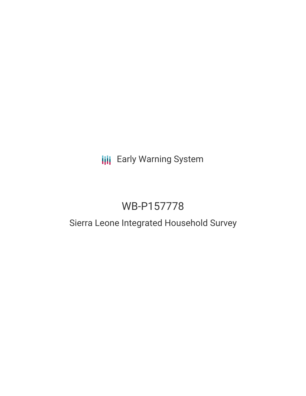# **III** Early Warning System

# WB-P157778

# Sierra Leone Integrated Household Survey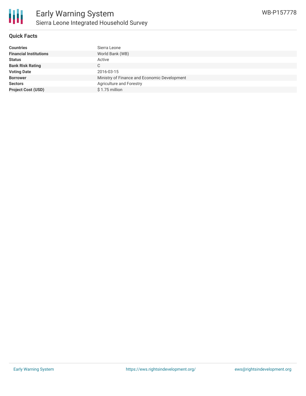

#### **Quick Facts**

| <b>Countries</b>              | Sierra Leone                                 |
|-------------------------------|----------------------------------------------|
| <b>Financial Institutions</b> | World Bank (WB)                              |
| <b>Status</b>                 | Active                                       |
| <b>Bank Risk Rating</b>       | C                                            |
| <b>Voting Date</b>            | 2016-03-15                                   |
| <b>Borrower</b>               | Ministry of Finance and Economic Development |
| <b>Sectors</b>                | Agriculture and Forestry                     |
| <b>Project Cost (USD)</b>     | $$1.75$ million                              |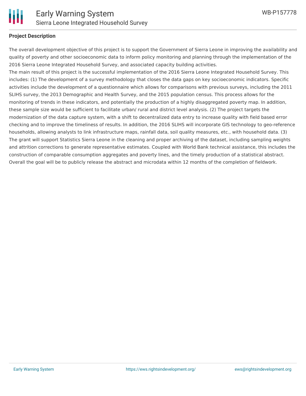

#### **Project Description**

The overall development objective of this project is to support the Government of Sierra Leone in improving the availability and quality of poverty and other socioeconomic data to inform policy monitoring and planning through the implementation of the 2016 Sierra Leone Integrated Household Survey, and associated capacity building activities.

The main result of this project is the successful implementation of the 2016 Sierra Leone Integrated Household Survey. This includes: (1) The development of a survey methodology that closes the data gaps on key socioeconomic indicators. Specific activities include the development of a questionnaire which allows for comparisons with previous surveys, including the 2011 SLIHS survey, the 2013 Demographic and Health Survey, and the 2015 population census. This process allows for the monitoring of trends in these indicators, and potentially the production of a highly disaggregated poverty map. In addition, these sample size would be sufficient to facilitate urban/ rural and district level analysis. (2) The project targets the modernization of the data capture system, with a shift to decentralized data entry to increase quality with field based error checking and to improve the timeliness of results. In addition, the 2016 SLIHS will incorporate GIS technology to geo-reference households, allowing analysts to link infrastructure maps, rainfall data, soil quality measures, etc., with household data. (3) The grant will support Statistics Sierra Leone in the cleaning and proper archiving of the dataset, including sampling weights and attrition corrections to generate representative estimates. Coupled with World Bank technical assistance, this includes the construction of comparable consumption aggregates and poverty lines, and the timely production of a statistical abstract. Overall the goal will be to publicly release the abstract and microdata within 12 months of the completion of fieldwork.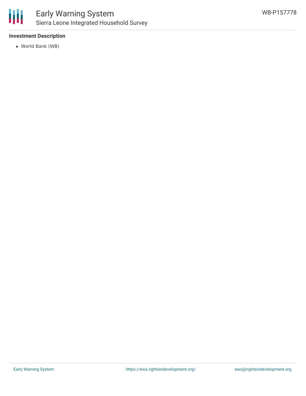

## Early Warning System Sierra Leone Integrated Household Survey

### **Investment Description**

World Bank (WB)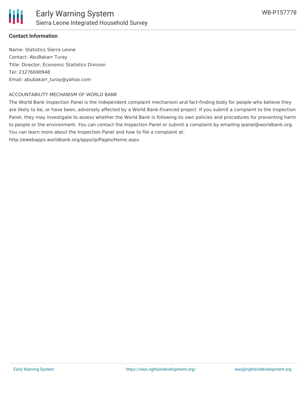

### **Contact Information**

Name: Statistics Sierra Leone Contact: AbuBakarr Turay Title: Director, Economic Statistics Division Tel: 23276690948 Email: abubakarr\_turay@yahoo.com

#### ACCOUNTABILITY MECHANISM OF WORLD BANK

The World Bank Inspection Panel is the independent complaint mechanism and fact-finding body for people who believe they are likely to be, or have been, adversely affected by a World Bank-financed project. If you submit a complaint to the Inspection Panel, they may investigate to assess whether the World Bank is following its own policies and procedures for preventing harm to people or the environment. You can contact the Inspection Panel or submit a complaint by emailing ipanel@worldbank.org. You can learn more about the Inspection Panel and how to file a complaint at:

http://ewebapps.worldbank.org/apps/ip/Pages/Home.aspx.